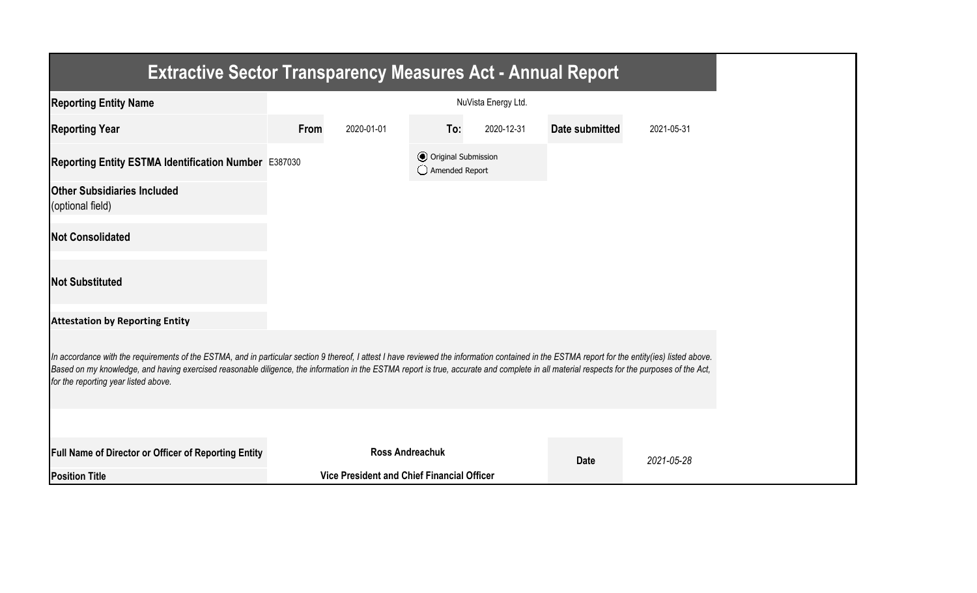| <b>Extractive Sector Transparency Measures Act - Annual Report</b>                                                                                                                                                                                                                                                                                                                                                                    |      |                                                   |                                                  |                     |                |            |
|---------------------------------------------------------------------------------------------------------------------------------------------------------------------------------------------------------------------------------------------------------------------------------------------------------------------------------------------------------------------------------------------------------------------------------------|------|---------------------------------------------------|--------------------------------------------------|---------------------|----------------|------------|
| <b>Reporting Entity Name</b>                                                                                                                                                                                                                                                                                                                                                                                                          |      |                                                   |                                                  | NuVista Energy Ltd. |                |            |
| <b>Reporting Year</b>                                                                                                                                                                                                                                                                                                                                                                                                                 | From | 2020-01-01                                        | To:                                              | 2020-12-31          | Date submitted | 2021-05-31 |
| Reporting Entity ESTMA Identification Number E387030                                                                                                                                                                                                                                                                                                                                                                                  |      |                                                   | <b>⊙</b> Original Submission<br>◯ Amended Report |                     |                |            |
| <b>Other Subsidiaries Included</b><br>(optional field)                                                                                                                                                                                                                                                                                                                                                                                |      |                                                   |                                                  |                     |                |            |
| <b>Not Consolidated</b>                                                                                                                                                                                                                                                                                                                                                                                                               |      |                                                   |                                                  |                     |                |            |
| <b>Not Substituted</b>                                                                                                                                                                                                                                                                                                                                                                                                                |      |                                                   |                                                  |                     |                |            |
| <b>Attestation by Reporting Entity</b>                                                                                                                                                                                                                                                                                                                                                                                                |      |                                                   |                                                  |                     |                |            |
| In accordance with the requirements of the ESTMA, and in particular section 9 thereof, I attest I have reviewed the information contained in the ESTMA report for the entity(ies) listed above.<br>Based on my knowledge, and having exercised reasonable diligence, the information in the ESTMA report is true, accurate and complete in all material respects for the purposes of the Act,<br>for the reporting year listed above. |      |                                                   |                                                  |                     |                |            |
|                                                                                                                                                                                                                                                                                                                                                                                                                                       |      |                                                   |                                                  |                     |                |            |
| Full Name of Director or Officer of Reporting Entity                                                                                                                                                                                                                                                                                                                                                                                  |      | <b>Ross Andreachuk</b>                            |                                                  |                     | <b>Date</b>    | 2021-05-28 |
| <b>Position Title</b>                                                                                                                                                                                                                                                                                                                                                                                                                 |      | <b>Vice President and Chief Financial Officer</b> |                                                  |                     |                |            |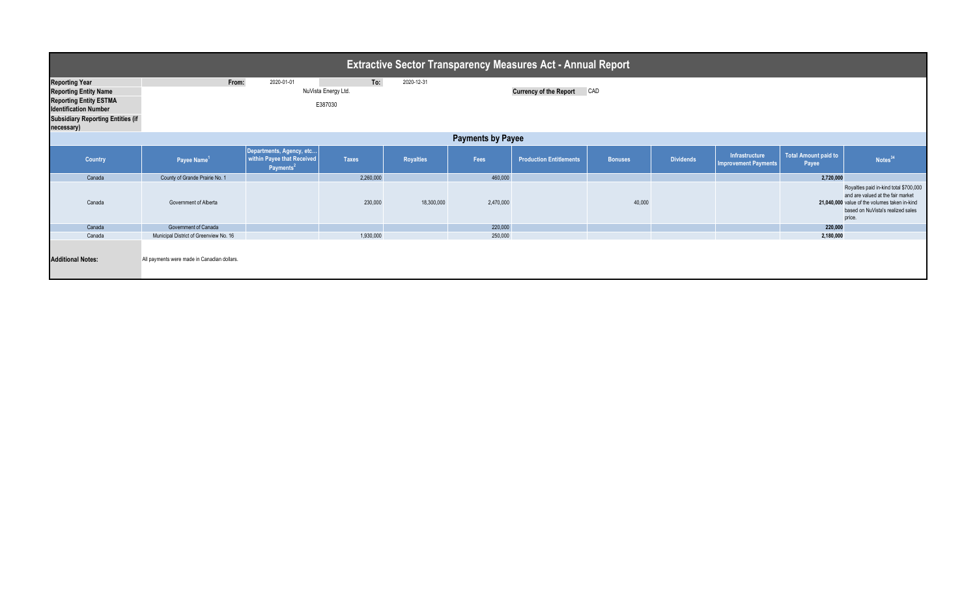| <b>Extractive Sector Transparency Measures Act - Annual Report</b>                                                                                                               |                                             |                                                                                 |                                       |                  |           |                                |                |                  |                                               |                                                                                                                                                                             |                     |  |
|----------------------------------------------------------------------------------------------------------------------------------------------------------------------------------|---------------------------------------------|---------------------------------------------------------------------------------|---------------------------------------|------------------|-----------|--------------------------------|----------------|------------------|-----------------------------------------------|-----------------------------------------------------------------------------------------------------------------------------------------------------------------------------|---------------------|--|
| <b>Reporting Year</b><br><b>Reporting Entity Name</b><br><b>Reporting Entity ESTMA</b><br><b>Identification Number</b><br><b>Subsidiary Reporting Entities (if</b><br>necessary) | From:                                       | 2020-01-01                                                                      | To:<br>NuVista Energy Ltd.<br>E387030 | 2020-12-31       |           | <b>Currency of the Report</b>  | CAD            |                  |                                               |                                                                                                                                                                             |                     |  |
| <b>Payments by Payee</b>                                                                                                                                                         |                                             |                                                                                 |                                       |                  |           |                                |                |                  |                                               |                                                                                                                                                                             |                     |  |
| Country                                                                                                                                                                          | Payee Name <sup>1</sup>                     | Departments, Agency, etc<br>within Payee that Received<br>Payments <sup>2</sup> | <b>Taxes</b>                          | <b>Royalties</b> | Fees      | <b>Production Entitlements</b> | <b>Bonuses</b> | <b>Dividends</b> | Infrastructure<br><b>Improvement Payments</b> | Total Amount paid to<br>Payee                                                                                                                                               | Notes <sup>34</sup> |  |
| Canada                                                                                                                                                                           | County of Grande Prairie No. 1              |                                                                                 | 2,260,000                             |                  | 460,000   |                                |                |                  |                                               | 2,720,000                                                                                                                                                                   |                     |  |
| Canada                                                                                                                                                                           | Government of Alberta                       |                                                                                 | 230,000                               | 18,300,000       | 2,470,000 |                                | 40,000         |                  |                                               | Royalties paid in-kind total \$700,000<br>and are valued at the fair market<br>21,040,000 value of the volumes taken in-kind<br>based on NuVista's realized sales<br>price. |                     |  |
| Canada                                                                                                                                                                           | Government of Canada                        |                                                                                 |                                       |                  | 220,000   |                                |                |                  |                                               | 220,000                                                                                                                                                                     |                     |  |
| Canada                                                                                                                                                                           | Municipal District of Greenview No. 16      |                                                                                 | 1,930,000                             |                  | 250,000   |                                |                |                  |                                               | 2,180,000                                                                                                                                                                   |                     |  |
| <b>Additional Notes:</b>                                                                                                                                                         | All payments were made in Canadian dollars. |                                                                                 |                                       |                  |           |                                |                |                  |                                               |                                                                                                                                                                             |                     |  |